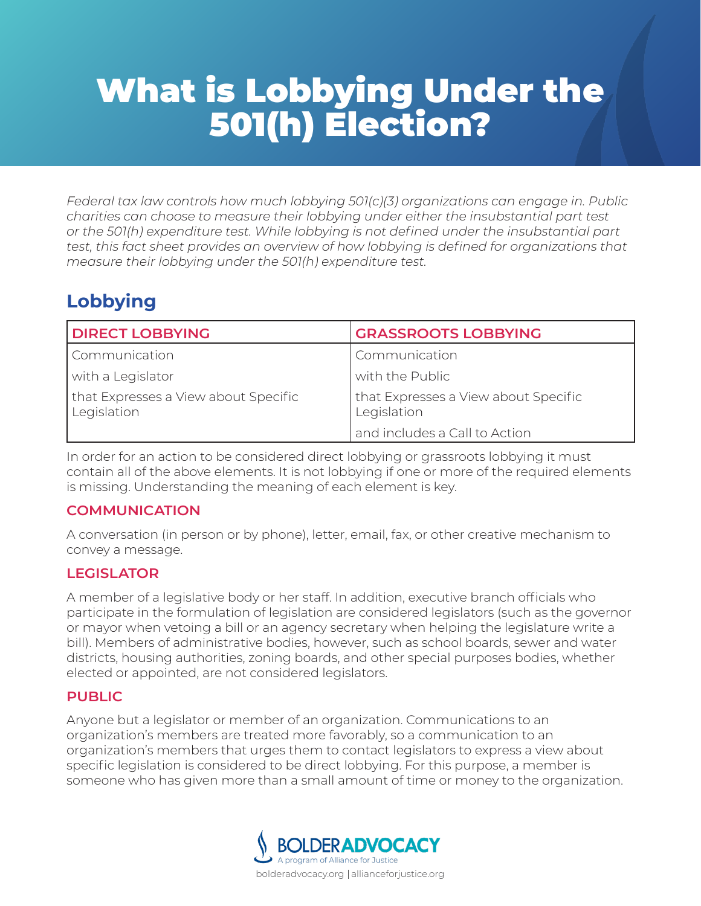# What is Lobbying Under the 501(h) Election?

*Federal tax law controls how much lobbying 501(c)(3) organizations can engage in. Public charities can choose to measure their lobbying under either the insubstantial part test or the 501(h) expenditure test. While lobbying is not defined under the insubstantial part test, this fact sheet provides an overview of how lobbying is defined for organizations that measure their lobbying under the 501(h) expenditure test.*

# **Lobbying**

| <b>DIRECT LOBBYING</b>                              | <b>GRASSROOTS LOBBYING</b>                          |
|-----------------------------------------------------|-----------------------------------------------------|
| Communication                                       | Communication                                       |
| with a Legislator                                   | with the Public                                     |
| that Expresses a View about Specific<br>Legislation | that Expresses a View about Specific<br>Legislation |
|                                                     | and includes a Call to Action                       |

In order for an action to be considered direct lobbying or grassroots lobbying it must contain all of the above elements. It is not lobbying if one or more of the required elements is missing. Understanding the meaning of each element is key.

## **COMMUNICATION**

A conversation (in person or by phone), letter, email, fax, or other creative mechanism to convey a message.

# **LEGISLATOR**

A member of a legislative body or her staff. In addition, executive branch officials who participate in the formulation of legislation are considered legislators (such as the governor or mayor when vetoing a bill or an agency secretary when helping the legislature write a bill). Members of administrative bodies, however, such as school boards, sewer and water districts, housing authorities, zoning boards, and other special purposes bodies, whether elected or appointed, are not considered legislators.

## **PUBLIC**

Anyone but a legislator or member of an organization. Communications to an organization's members are treated more favorably, so a communication to an organization's members that urges them to contact legislators to express a view about specific legislation is considered to be direct lobbying. For this purpose, a member is someone who has given more than a small amount of time or money to the organization.

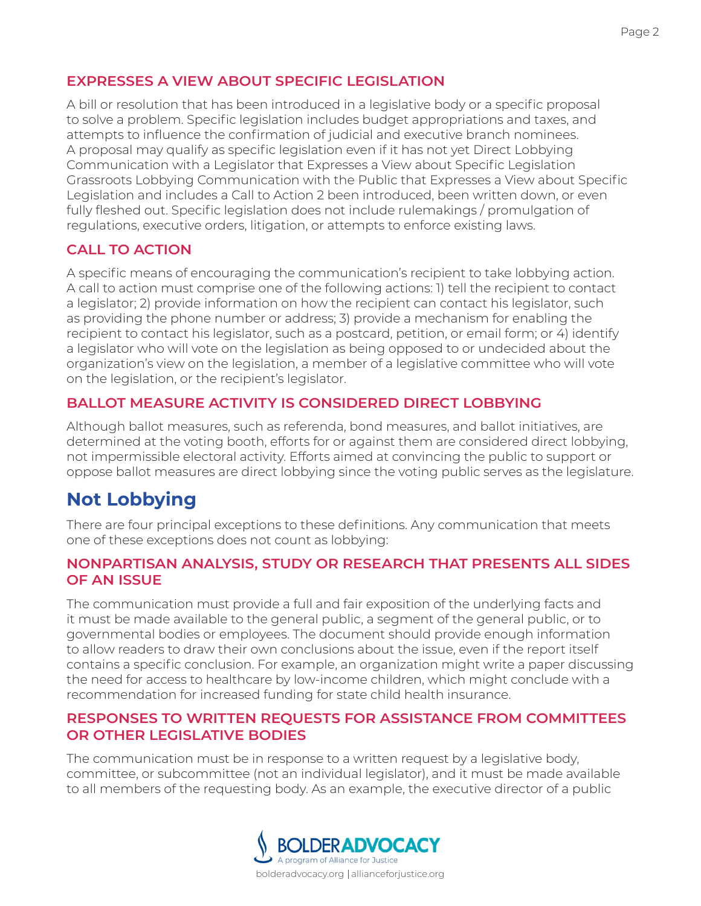# **EXPRESSES A VIEW ABOUT SPECIFIC LEGISLATION**

A bill or resolution that has been introduced in a legislative body or a specific proposal to solve a problem. Specific legislation includes budget appropriations and taxes, and attempts to influence the confirmation of judicial and executive branch nominees. A proposal may qualify as specific legislation even if it has not yet Direct Lobbying Communication with a Legislator that Expresses a View about Specific Legislation Grassroots Lobbying Communication with the Public that Expresses a View about Specific Legislation and includes a Call to Action 2 been introduced, been written down, or even fully fleshed out. Specific legislation does not include rulemakings / promulgation of regulations, executive orders, litigation, or attempts to enforce existing laws.

# **CALL TO ACTION**

A specific means of encouraging the communication's recipient to take lobbying action. A call to action must comprise one of the following actions: 1) tell the recipient to contact a legislator; 2) provide information on how the recipient can contact his legislator, such as providing the phone number or address; 3) provide a mechanism for enabling the recipient to contact his legislator, such as a postcard, petition, or email form; or 4) identify a legislator who will vote on the legislation as being opposed to or undecided about the organization's view on the legislation, a member of a legislative committee who will vote on the legislation, or the recipient's legislator.

# **BALLOT MEASURE ACTIVITY IS CONSIDERED DIRECT LOBBYING**

Although ballot measures, such as referenda, bond measures, and ballot initiatives, are determined at the voting booth, efforts for or against them are considered direct lobbying, not impermissible electoral activity. Efforts aimed at convincing the public to support or oppose ballot measures are direct lobbying since the voting public serves as the legislature.

# **Not Lobbying**

There are four principal exceptions to these definitions. Any communication that meets one of these exceptions does not count as lobbying:

#### **NONPARTISAN ANALYSIS, STUDY OR RESEARCH THAT PRESENTS ALL SIDES OF AN ISSUE**

The communication must provide a full and fair exposition of the underlying facts and it must be made available to the general public, a segment of the general public, or to governmental bodies or employees. The document should provide enough information to allow readers to draw their own conclusions about the issue, even if the report itself contains a specific conclusion. For example, an organization might write a paper discussing the need for access to healthcare by low-income children, which might conclude with a recommendation for increased funding for state child health insurance.

#### **RESPONSES TO WRITTEN REQUESTS FOR ASSISTANCE FROM COMMITTEES OR OTHER LEGISLATIVE BODIES**

The communication must be in response to a written request by a legislative body, committee, or subcommittee (not an individual legislator), and it must be made available to all members of the requesting body. As an example, the executive director of a public